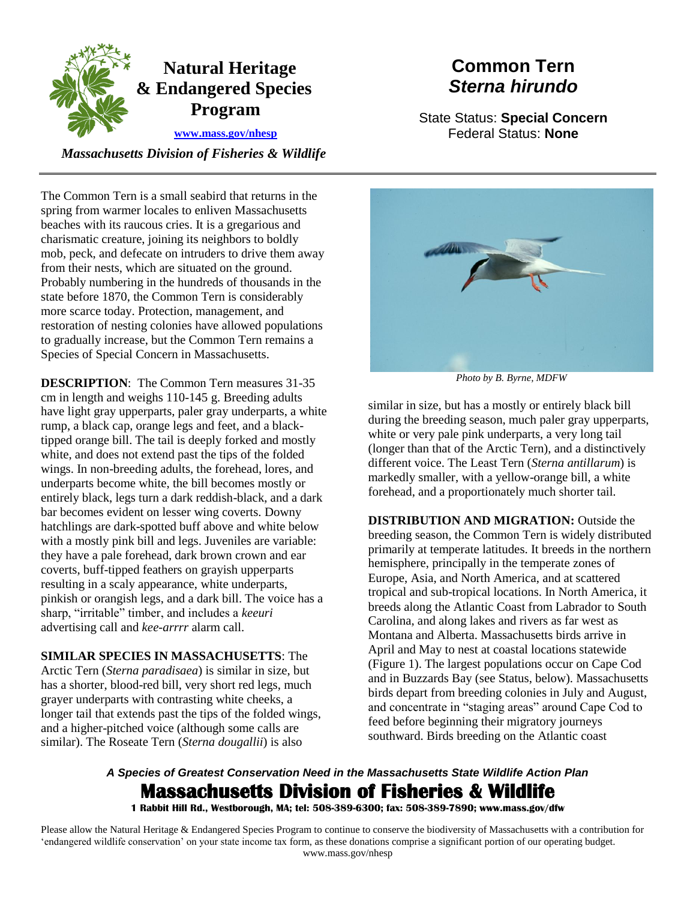

# **Common Tern**  *Sterna hirundo*

State Status: **Special Concern**  Federal Status: **None** 

 *Massachusetts Division of Fisheries & Wildlife* 

The Common Tern is a small seabird that returns in the spring from warmer locales to enliven Massachusetts beaches with its raucous cries. It is a gregarious and charismatic creature, joining its neighbors to boldly mob, peck, and defecate on intruders to drive them away from their nests, which are situated on the ground. Probably numbering in the hundreds of thousands in the state before 1870, the Common Tern is considerably more scarce today. Protection, management, and restoration of nesting colonies have allowed populations to gradually increase, but the Common Tern remains a Species of Special Concern in Massachusetts.

 **DESCRIPTION**: The Common Tern measures 31-35 tipped orange bill. The tail is deeply forked and mostly white, and does not extend past the tips of the folded entirely black, legs turn a dark reddish-black, and a dark with a mostly pink bill and legs. Juveniles are variable: cm in length and weighs 110-145 g. Breeding adults have light gray upperparts, paler gray underparts, a white rump, a black cap, orange legs and feet, and a blackwings. In non-breeding adults, the forehead, lores, and underparts become white, the bill becomes mostly or bar becomes evident on lesser wing coverts. Downy hatchlings are dark-spotted buff above and white below they have a pale forehead, dark brown crown and ear coverts, buff-tipped feathers on grayish upperparts resulting in a scaly appearance, white underparts, pinkish or orangish legs, and a dark bill. The voice has a sharp, "irritable" timber, and includes a *keeuri*  advertising call and *kee-arrrr* alarm call.

 **SIMILAR SPECIES IN MASSACHUSETTS**: The Arctic Tern (*Sterna paradisaea*) is similar in size, but has a shorter, blood-red bill, very short red legs, much grayer underparts with contrasting white cheeks, a longer tail that extends past the tips of the folded wings, and a higher-pitched voice (although some calls are similar). The Roseate Tern (*Sterna dougallii*) is also



*Photo by B. Byrne, MDFW* 

similar in size, but has a mostly or entirely black bill during the breeding season, much paler gray upperparts, white or very pale pink underparts, a very long tail (longer than that of the Arctic Tern), and a distinctively different voice. The Least Tern (*Sterna antillarum*) is markedly smaller, with a yellow-orange bill, a white forehead, and a proportionately much shorter tail.

 feed before beginning their migratory journeys **DISTRIBUTION AND MIGRATION:** Outside the breeding season, the Common Tern is widely distributed primarily at temperate latitudes. It breeds in the northern hemisphere, principally in the temperate zones of Europe, Asia, and North America, and at scattered tropical and sub-tropical locations. In North America, it breeds along the Atlantic Coast from Labrador to South Carolina, and along lakes and rivers as far west as Montana and Alberta. Massachusetts birds arrive in April and May to nest at coastal locations statewide (Figure 1). The largest populations occur on Cape Cod and in Buzzards Bay (see Status, below). Massachusetts birds depart from breeding colonies in July and August, and concentrate in "staging areas" around Cape Cod to southward. Birds breeding on the Atlantic coast

## *A Species of Greatest Conservation Need in the Massachusetts State Wildlife Action Plan*  **Massachusetts Division of Fisheries & Wildlife**

 **1 Rabbit Hill Rd., Westborough, MA; tel: 508-389-6300; fax: 508-389-7890; www.mass.gov/dfw**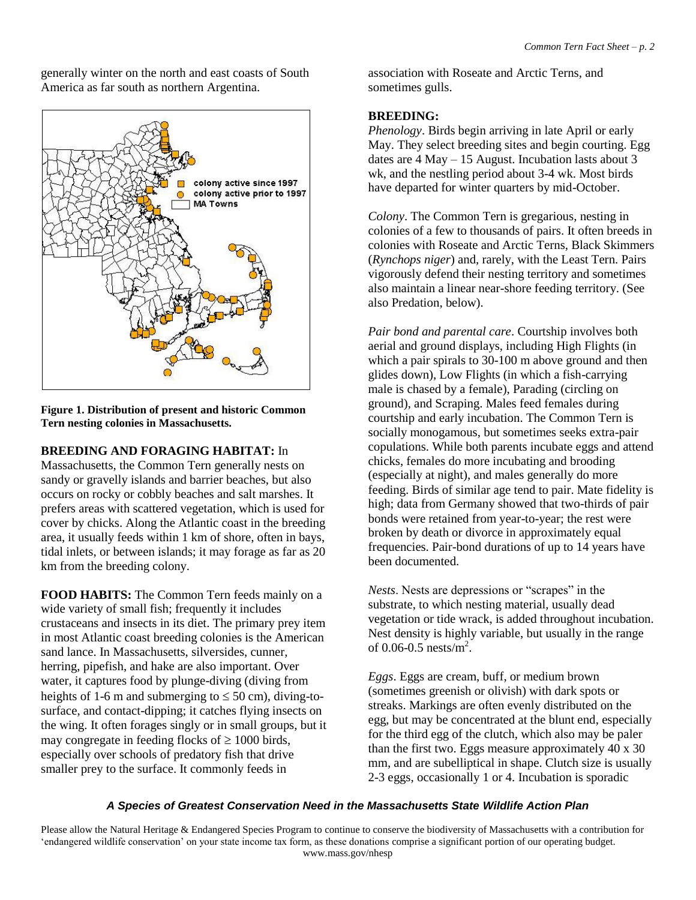generally winter on the north and east coasts of South America as far south as northern Argentina.



**Figure 1. Distribution of present and historic Common Tern nesting colonies in Massachusetts.** 

 tidal inlets, or between islands; it may forage as far as 20 **BREEDING AND FORAGING HABITAT:** In Massachusetts, the Common Tern generally nests on sandy or gravelly islands and barrier beaches, but also occurs on rocky or cobbly beaches and salt marshes. It prefers areas with scattered vegetation, which is used for cover by chicks. Along the Atlantic coast in the breeding area, it usually feeds within 1 km of shore, often in bays, km from the breeding colony.

may congregate in feeding flocks of  $\geq 1000$  birds, **FOOD HABITS:** The Common Tern feeds mainly on a wide variety of small fish; frequently it includes crustaceans and insects in its diet. The primary prey item in most Atlantic coast breeding colonies is the American sand lance. In Massachusetts, silversides, cunner, herring, pipefish, and hake are also important. Over water, it captures food by plunge-diving (diving from heights of 1-6 m and submerging to  $\leq 50$  cm), diving-tosurface, and contact-dipping; it catches flying insects on the wing. It often forages singly or in small groups, but it especially over schools of predatory fish that drive smaller prey to the surface. It commonly feeds in

association with Roseate and Arctic Terns, and sometimes gulls.

## **BREEDING:**

*Phenology*. Birds begin arriving in late April or early May. They select breeding sites and begin courting. Egg dates are 4 May – 15 August. Incubation lasts about 3 wk, and the nestling period about 3-4 wk. Most birds have departed for winter quarters by mid-October.

*Colony*. The Common Tern is gregarious, nesting in colonies of a few to thousands of pairs. It often breeds in colonies with Roseate and Arctic Terns, Black Skimmers (*Rynchops niger*) and, rarely, with the Least Tern. Pairs vigorously defend their nesting territory and sometimes also maintain a linear near-shore feeding territory. (See also Predation, below).

*Pair bond and parental care*. Courtship involves both aerial and ground displays, including High Flights (in which a pair spirals to 30-100 m above ground and then glides down), Low Flights (in which a fish-carrying male is chased by a female), Parading (circling on ground), and Scraping. Males feed females during courtship and early incubation. The Common Tern is socially monogamous, but sometimes seeks extra-pair copulations. While both parents incubate eggs and attend chicks, females do more incubating and brooding (especially at night), and males generally do more feeding. Birds of similar age tend to pair. Mate fidelity is high; data from Germany showed that two-thirds of pair bonds were retained from year-to-year; the rest were broken by death or divorce in approximately equal frequencies. Pair-bond durations of up to 14 years have been documented.

*Nests*. Nests are depressions or "scrapes" in the substrate, to which nesting material, usually dead vegetation or tide wrack, is added throughout incubation. Nest density is highly variable, but usually in the range of 0.06-0.5  $nests/m^2$ .

*Eggs*. Eggs are cream, buff, or medium brown (sometimes greenish or olivish) with dark spots or streaks. Markings are often evenly distributed on the egg, but may be concentrated at the blunt end, especially for the third egg of the clutch, which also may be paler than the first two. Eggs measure approximately 40 x 30 mm, and are subelliptical in shape. Clutch size is usually 2-3 eggs, occasionally 1 or 4. Incubation is sporadic

## *A Species of Greatest Conservation Need in the Massachusetts State Wildlife Action Plan*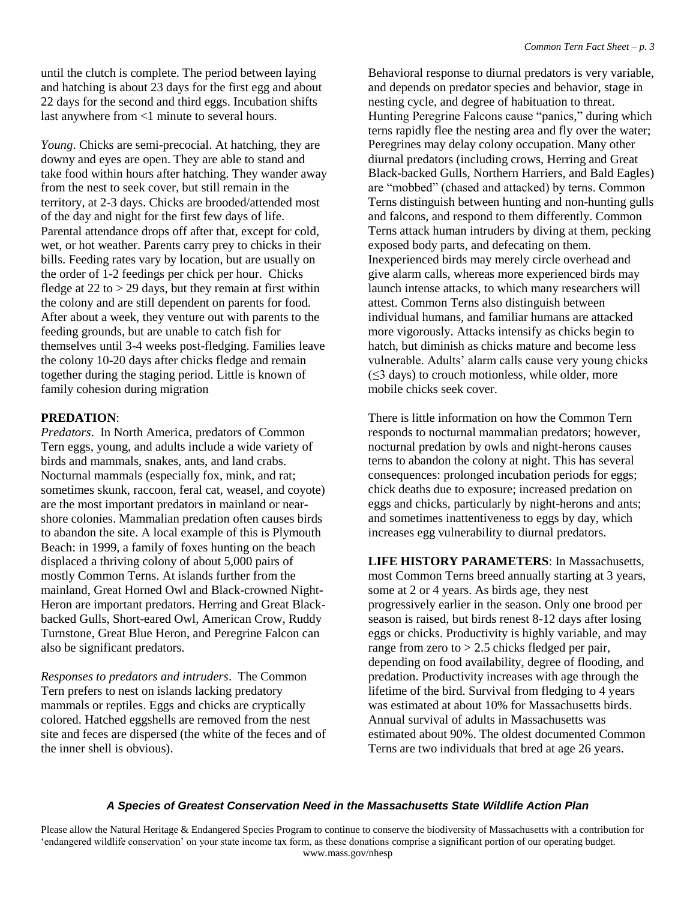last anywhere from <1 minute to several hours. until the clutch is complete. The period between laying and hatching is about 23 days for the first egg and about 22 days for the second and third eggs. Incubation shifts

 of the day and night for the first few days of life. *Young*. Chicks are semi-precocial. At hatching, they are downy and eyes are open. They are able to stand and take food within hours after hatching. They wander away from the nest to seek cover, but still remain in the territory, at 2-3 days. Chicks are brooded/attended most Parental attendance drops off after that, except for cold, wet, or hot weather. Parents carry prey to chicks in their bills. Feeding rates vary by location, but are usually on the order of 1-2 feedings per chick per hour. Chicks fledge at  $22$  to  $> 29$  days, but they remain at first within the colony and are still dependent on parents for food. After about a week, they venture out with parents to the feeding grounds, but are unable to catch fish for themselves until 3-4 weeks post-fledging. Families leave the colony 10-20 days after chicks fledge and remain together during the staging period. Little is known of family cohesion during migration

## **PREDATION**:

 mostly Common Terns. At islands further from the *Predators*. In North America, predators of Common Tern eggs, young, and adults include a wide variety of birds and mammals, snakes, ants, and land crabs. Nocturnal mammals (especially fox, mink, and rat; sometimes skunk, raccoon, feral cat, weasel, and coyote) are the most important predators in mainland or nearshore colonies. Mammalian predation often causes birds to abandon the site. A local example of this is Plymouth Beach: in 1999, a family of foxes hunting on the beach displaced a thriving colony of about 5,000 pairs of mainland, Great Horned Owl and Black-crowned Night-Heron are important predators. Herring and Great Blackbacked Gulls, Short-eared Owl, American Crow, Ruddy Turnstone, Great Blue Heron, and Peregrine Falcon can also be significant predators.

 *Responses to predators and intruders*. The Common Tern prefers to nest on islands lacking predatory mammals or reptiles. Eggs and chicks are cryptically colored. Hatched eggshells are removed from the nest site and feces are dispersed (the white of the feces and of the inner shell is obvious).

 and depends on predator species and behavior, stage in Behavioral response to diurnal predators is very variable, nesting cycle, and degree of habituation to threat. Hunting Peregrine Falcons cause "panics," during which terns rapidly flee the nesting area and fly over the water; Peregrines may delay colony occupation. Many other diurnal predators (including crows, Herring and Great Black-backed Gulls, Northern Harriers, and Bald Eagles) are "mobbed" (chased and attacked) by terns. Common Terns distinguish between hunting and non-hunting gulls and falcons, and respond to them differently. Common Terns attack human intruders by diving at them, pecking exposed body parts, and defecating on them. Inexperienced birds may merely circle overhead and give alarm calls, whereas more experienced birds may launch intense attacks, to which many researchers will attest. Common Terns also distinguish between individual humans, and familiar humans are attacked more vigorously. Attacks intensify as chicks begin to hatch, but diminish as chicks mature and become less vulnerable. Adults' alarm calls cause very young chicks  $(\leq$ 3 days) to crouch motionless, while older, more mobile chicks seek cover.

There is little information on how the Common Tern responds to nocturnal mammalian predators; however, nocturnal predation by owls and night-herons causes terns to abandon the colony at night. This has several consequences: prolonged incubation periods for eggs; chick deaths due to exposure; increased predation on eggs and chicks, particularly by night-herons and ants; and sometimes inattentiveness to eggs by day, which increases egg vulnerability to diurnal predators.

 **LIFE HISTORY PARAMETERS**: In Massachusetts, season is raised, but birds renest 8-12 days after losing most Common Terns breed annually starting at 3 years, some at 2 or 4 years. As birds age, they nest progressively earlier in the season. Only one brood per eggs or chicks. Productivity is highly variable, and may range from zero to  $> 2.5$  chicks fledged per pair, depending on food availability, degree of flooding, and predation. Productivity increases with age through the lifetime of the bird. Survival from fledging to 4 years was estimated at about 10% for Massachusetts birds. Annual survival of adults in Massachusetts was estimated about 90%. The oldest documented Common Terns are two individuals that bred at age 26 years.

### *A Species of Greatest Conservation Need in the Massachusetts State Wildlife Action Plan*